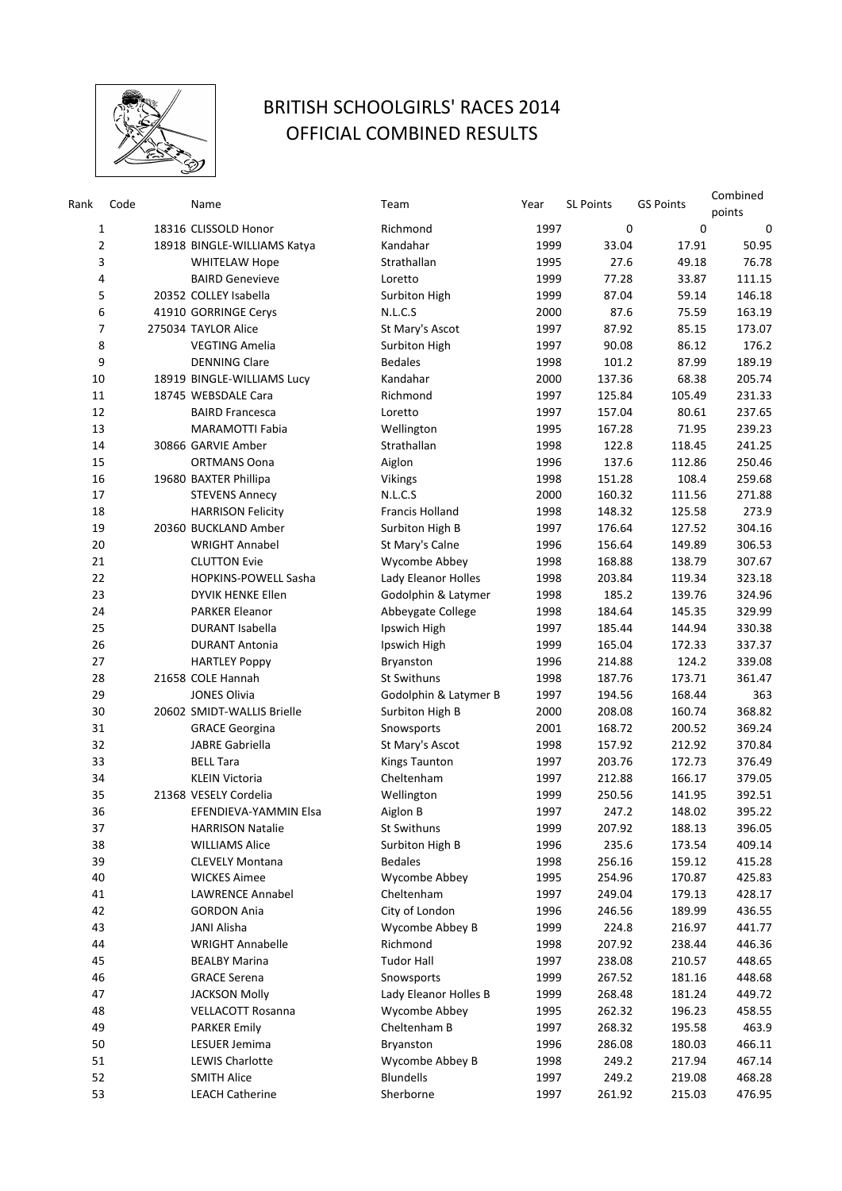

## BRITISH SCHOOLGIRLS' RACES 2014 OFFICIAL COMBINED RESULTS

| Rank     | Code | Name                                             | Team                                    | Year         | <b>SL Points</b> | <b>GS Points</b> | Combined<br>points |
|----------|------|--------------------------------------------------|-----------------------------------------|--------------|------------------|------------------|--------------------|
| 1        |      | 18316 CLISSOLD Honor                             | Richmond                                | 1997         | 0                | $\mathbf 0$      | $\mathbf 0$        |
| 2        |      | 18918 BINGLE-WILLIAMS Katya                      | Kandahar                                | 1999         | 33.04            | 17.91            | 50.95              |
| 3        |      | <b>WHITELAW Hope</b>                             | Strathallan                             | 1995         | 27.6             | 49.18            | 76.78              |
| 4        |      | <b>BAIRD Genevieve</b>                           | Loretto                                 | 1999         | 77.28            | 33.87            | 111.15             |
| 5        |      | 20352 COLLEY Isabella                            | Surbiton High                           | 1999         | 87.04            | 59.14            | 146.18             |
| 6        |      | 41910 GORRINGE Cerys                             | N.L.C.S                                 | 2000         | 87.6             | 75.59            | 163.19             |
| 7        |      | 275034 TAYLOR Alice                              | St Mary's Ascot                         | 1997         | 87.92            | 85.15            | 173.07             |
| 8        |      | <b>VEGTING Amelia</b>                            | Surbiton High                           | 1997         | 90.08            | 86.12            | 176.2              |
| 9        |      | <b>DENNING Clare</b>                             | <b>Bedales</b>                          | 1998         | 101.2            | 87.99            | 189.19             |
| 10       |      | 18919 BINGLE-WILLIAMS Lucy                       | Kandahar                                | 2000         | 137.36           | 68.38            | 205.74             |
| 11       |      | 18745 WEBSDALE Cara                              | Richmond                                | 1997         | 125.84           | 105.49           | 231.33             |
| 12       |      | <b>BAIRD Francesca</b>                           | Loretto                                 | 1997         | 157.04           | 80.61            | 237.65             |
| 13       |      | <b>MARAMOTTI Fabia</b>                           | Wellington                              | 1995         | 167.28           | 71.95            | 239.23             |
| 14       |      | 30866 GARVIE Amber                               | Strathallan                             | 1998         | 122.8            | 118.45           | 241.25             |
| 15       |      | <b>ORTMANS Oona</b>                              | Aiglon                                  | 1996         | 137.6            | 112.86           | 250.46             |
| 16       |      | 19680 BAXTER Phillipa                            | <b>Vikings</b>                          | 1998         | 151.28           | 108.4            | 259.68             |
| 17       |      | <b>STEVENS Annecy</b>                            | N.L.C.S                                 | 2000         | 160.32           | 111.56           | 271.88             |
| 18       |      | <b>HARRISON Felicity</b>                         | Francis Holland                         | 1998         | 148.32           | 125.58           | 273.9              |
| 19       |      | 20360 BUCKLAND Amber                             | Surbiton High B                         | 1997         | 176.64           | 127.52           | 304.16             |
| 20       |      | <b>WRIGHT Annabel</b>                            | St Mary's Calne                         | 1996         | 156.64           | 149.89           | 306.53             |
| 21       |      | <b>CLUTTON Evie</b>                              | Wycombe Abbey                           | 1998         | 168.88           | 138.79           | 307.67             |
| 22       |      | <b>HOPKINS-POWELL Sasha</b>                      | Lady Eleanor Holles                     | 1998         | 203.84           | 119.34           | 323.18             |
| 23       |      | DYVIK HENKE Ellen                                | Godolphin & Latymer                     | 1998         | 185.2            | 139.76           | 324.96             |
| 24       |      | <b>PARKER Eleanor</b>                            |                                         | 1998         | 184.64           | 145.35           | 329.99             |
| 25       |      | <b>DURANT Isabella</b>                           | Abbeygate College                       | 1997         | 185.44           | 144.94           | 330.38             |
| 26       |      | <b>DURANT Antonia</b>                            | Ipswich High<br>Ipswich High            | 1999         | 165.04           | 172.33           | 337.37             |
| 27       |      |                                                  | Bryanston                               | 1996         | 214.88           | 124.2            | 339.08             |
| 28       |      | <b>HARTLEY Poppy</b><br>21658 COLE Hannah        | <b>St Swithuns</b>                      | 1998         | 187.76           | 173.71           | 361.47             |
| 29       |      | <b>JONES Olivia</b>                              | Godolphin & Latymer B                   | 1997         | 194.56           | 168.44           | 363                |
| 30       |      | 20602 SMIDT-WALLIS Brielle                       |                                         | 2000         | 208.08           | 160.74           | 368.82             |
| 31       |      |                                                  | Surbiton High B                         | 2001         | 168.72           | 200.52           | 369.24             |
| 32       |      | <b>GRACE Georgina</b><br>JABRE Gabriella         | Snowsports                              | 1998         | 157.92           | 212.92           | 370.84             |
| 33       |      | <b>BELL Tara</b>                                 | St Mary's Ascot<br><b>Kings Taunton</b> | 1997         | 203.76           | 172.73           | 376.49             |
| 34       |      | <b>KLEIN Victoria</b>                            | Cheltenham                              | 1997         | 212.88           | 166.17           | 379.05             |
| 35       |      | 21368 VESELY Cordelia                            |                                         | 1999         | 250.56           | 141.95           | 392.51             |
| 36       |      | EFENDIEVA-YAMMIN Elsa                            | Wellington<br>Aiglon B                  | 1997         | 247.2            | 148.02           | 395.22             |
| 37       |      |                                                  | St Swithuns                             | 1999         | 207.92           | 188.13           | 396.05             |
| 38       |      | <b>HARRISON Natalie</b><br><b>WILLIAMS Alice</b> |                                         |              | 235.6            | 173.54           |                    |
| 39       |      | <b>CLEVELY Montana</b>                           | Surbiton High B<br><b>Bedales</b>       | 1996<br>1998 | 256.16           | 159.12           | 409.14<br>415.28   |
| 40       |      | <b>WICKES Aimee</b>                              | Wycombe Abbey                           | 1995         | 254.96           | 170.87           | 425.83             |
| 41       |      | <b>LAWRENCE Annabel</b>                          | Cheltenham                              | 1997         | 249.04           | 179.13           | 428.17             |
|          |      | <b>GORDON Ania</b>                               | City of London                          | 1996         | 246.56           | 189.99           | 436.55             |
| 42<br>43 |      | <b>JANI Alisha</b>                               | Wycombe Abbey B                         | 1999         | 224.8            | 216.97           | 441.77             |
| 44       |      | <b>WRIGHT Annabelle</b>                          | Richmond                                | 1998         | 207.92           | 238.44           | 446.36             |
| 45       |      | <b>BEALBY Marina</b>                             | <b>Tudor Hall</b>                       | 1997         | 238.08           | 210.57           | 448.65             |
| 46       |      | <b>GRACE Serena</b>                              | Snowsports                              | 1999         | 267.52           |                  | 448.68             |
| 47       |      | <b>JACKSON Molly</b>                             |                                         | 1999         | 268.48           | 181.16           | 449.72             |
|          |      |                                                  | Lady Eleanor Holles B                   |              |                  | 181.24           |                    |
| 48<br>49 |      | <b>VELLACOTT Rosanna</b>                         | Wycombe Abbey<br>Cheltenham B           | 1995         | 262.32           | 196.23           | 458.55             |
| 50       |      | <b>PARKER Emily</b><br>LESUER Jemima             | Bryanston                               | 1997<br>1996 | 268.32<br>286.08 | 195.58           | 463.9<br>466.11    |
|          |      |                                                  |                                         |              |                  | 180.03           |                    |
| 51       |      | <b>LEWIS Charlotte</b>                           | Wycombe Abbey B                         | 1998         | 249.2            | 217.94           | 467.14             |
| 52       |      | <b>SMITH Alice</b>                               | <b>Blundells</b>                        | 1997         | 249.2            | 219.08           | 468.28             |
| 53       |      | <b>LEACH Catherine</b>                           | Sherborne                               | 1997         | 261.92           | 215.03           | 476.95             |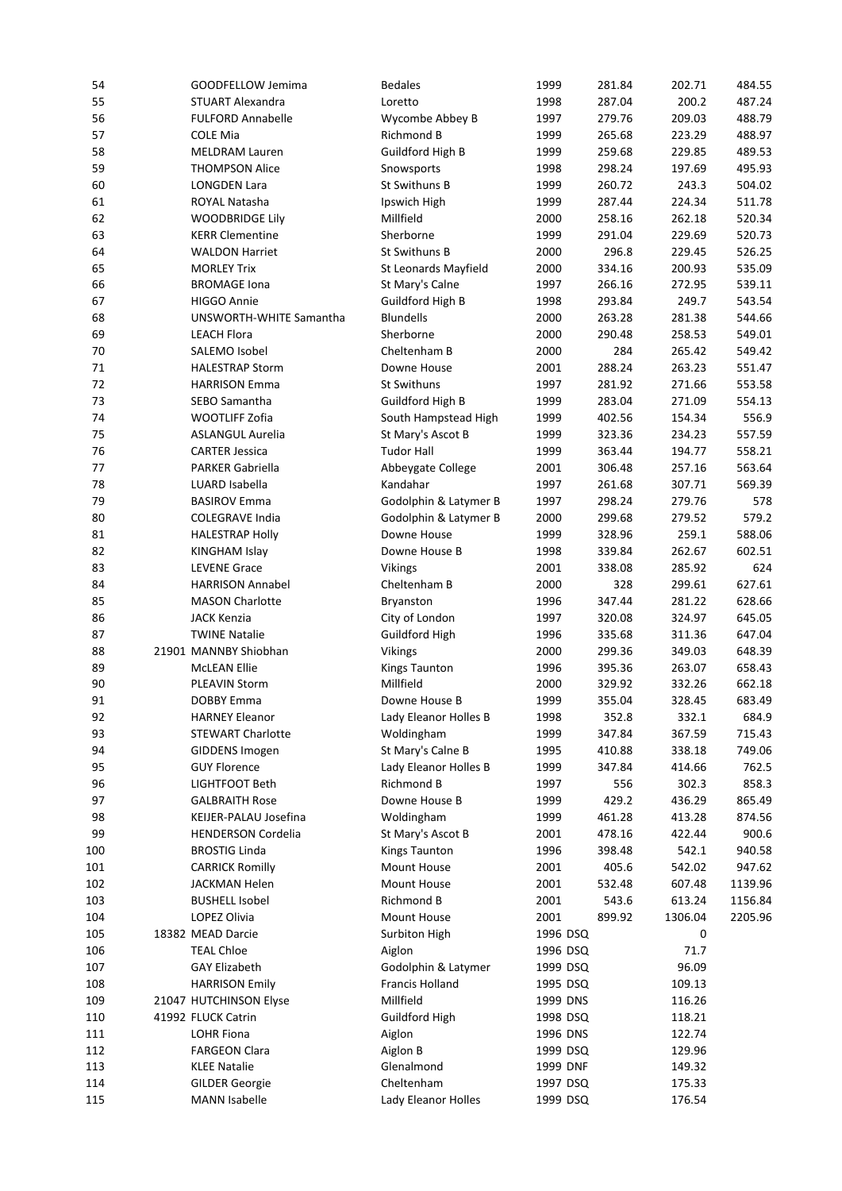| 54  | GOODFELLOW Jemima         | <b>Bedales</b>        | 1999     | 281.84 | 202.71  | 484.55  |
|-----|---------------------------|-----------------------|----------|--------|---------|---------|
| 55  | <b>STUART Alexandra</b>   | Loretto               | 1998     | 287.04 | 200.2   | 487.24  |
| 56  | <b>FULFORD Annabelle</b>  | Wycombe Abbey B       | 1997     | 279.76 | 209.03  | 488.79  |
| 57  | <b>COLE Mia</b>           | Richmond B            | 1999     | 265.68 | 223.29  | 488.97  |
| 58  | <b>MELDRAM Lauren</b>     | Guildford High B      | 1999     | 259.68 | 229.85  | 489.53  |
| 59  | <b>THOMPSON Alice</b>     | Snowsports            | 1998     | 298.24 | 197.69  | 495.93  |
| 60  | <b>LONGDEN Lara</b>       | St Swithuns B         | 1999     | 260.72 | 243.3   | 504.02  |
| 61  | ROYAL Natasha             | Ipswich High          | 1999     | 287.44 | 224.34  | 511.78  |
| 62  | <b>WOODBRIDGE Lily</b>    | Millfield             | 2000     | 258.16 | 262.18  | 520.34  |
| 63  | <b>KERR Clementine</b>    | Sherborne             | 1999     | 291.04 | 229.69  | 520.73  |
| 64  | <b>WALDON Harriet</b>     | St Swithuns B         | 2000     | 296.8  | 229.45  | 526.25  |
| 65  | <b>MORLEY Trix</b>        |                       | 2000     | 334.16 | 200.93  | 535.09  |
|     |                           | St Leonards Mayfield  |          |        |         |         |
| 66  | <b>BROMAGE Iona</b>       | St Mary's Calne       | 1997     | 266.16 | 272.95  | 539.11  |
| 67  | <b>HIGGO Annie</b>        | Guildford High B      | 1998     | 293.84 | 249.7   | 543.54  |
| 68  | UNSWORTH-WHITE Samantha   | <b>Blundells</b>      | 2000     | 263.28 | 281.38  | 544.66  |
| 69  | <b>LEACH Flora</b>        | Sherborne             | 2000     | 290.48 | 258.53  | 549.01  |
| 70  | SALEMO Isobel             | Cheltenham B          | 2000     | 284    | 265.42  | 549.42  |
| 71  | <b>HALESTRAP Storm</b>    | Downe House           | 2001     | 288.24 | 263.23  | 551.47  |
| 72  | <b>HARRISON Emma</b>      | <b>St Swithuns</b>    | 1997     | 281.92 | 271.66  | 553.58  |
| 73  | SEBO Samantha             | Guildford High B      | 1999     | 283.04 | 271.09  | 554.13  |
| 74  | WOOTLIFF Zofia            | South Hampstead High  | 1999     | 402.56 | 154.34  | 556.9   |
| 75  | <b>ASLANGUL Aurelia</b>   | St Mary's Ascot B     | 1999     | 323.36 | 234.23  | 557.59  |
| 76  | <b>CARTER Jessica</b>     | <b>Tudor Hall</b>     | 1999     | 363.44 | 194.77  | 558.21  |
| 77  | <b>PARKER Gabriella</b>   | Abbeygate College     | 2001     | 306.48 | 257.16  | 563.64  |
| 78  | LUARD Isabella            | Kandahar              | 1997     | 261.68 | 307.71  | 569.39  |
| 79  | <b>BASIROV Emma</b>       | Godolphin & Latymer B | 1997     | 298.24 | 279.76  | 578     |
| 80  | <b>COLEGRAVE India</b>    | Godolphin & Latymer B | 2000     | 299.68 | 279.52  | 579.2   |
| 81  | <b>HALESTRAP Holly</b>    | Downe House           | 1999     | 328.96 | 259.1   | 588.06  |
| 82  | KINGHAM Islay             | Downe House B         | 1998     | 339.84 | 262.67  | 602.51  |
| 83  | <b>LEVENE Grace</b>       | <b>Vikings</b>        | 2001     | 338.08 | 285.92  | 624     |
| 84  | <b>HARRISON Annabel</b>   | Cheltenham B          | 2000     | 328    | 299.61  | 627.61  |
| 85  | <b>MASON Charlotte</b>    | Bryanston             | 1996     | 347.44 | 281.22  | 628.66  |
| 86  | <b>JACK Kenzia</b>        | City of London        | 1997     | 320.08 | 324.97  | 645.05  |
| 87  | <b>TWINE Natalie</b>      | Guildford High        | 1996     | 335.68 | 311.36  | 647.04  |
| 88  | 21901 MANNBY Shiobhan     | Vikings               | 2000     | 299.36 | 349.03  | 648.39  |
|     |                           |                       |          |        |         | 658.43  |
| 89  | <b>McLEAN Ellie</b>       | <b>Kings Taunton</b>  | 1996     | 395.36 | 263.07  |         |
| 90  | <b>PLEAVIN Storm</b>      | Millfield             | 2000     | 329.92 | 332.26  | 662.18  |
| 91  | <b>DOBBY Emma</b>         | Downe House B         | 1999     | 355.04 | 328.45  | 683.49  |
| 92  | <b>HARNEY Eleanor</b>     | Lady Eleanor Holles B | 1998     | 352.8  | 332.1   | 684.9   |
| 93  | <b>STEWART Charlotte</b>  | Woldingham            | 1999     | 347.84 | 367.59  | 715.43  |
| 94  | GIDDENS Imogen            | St Mary's Calne B     | 1995     | 410.88 | 338.18  | 749.06  |
| 95  | <b>GUY Florence</b>       | Lady Eleanor Holles B | 1999     | 347.84 | 414.66  | 762.5   |
| 96  | LIGHTFOOT Beth            | <b>Richmond B</b>     | 1997     | 556    | 302.3   | 858.3   |
| 97  | <b>GALBRAITH Rose</b>     | Downe House B         | 1999     | 429.2  | 436.29  | 865.49  |
| 98  | KEIJER-PALAU Josefina     | Woldingham            | 1999     | 461.28 | 413.28  | 874.56  |
| 99  | <b>HENDERSON Cordelia</b> | St Mary's Ascot B     | 2001     | 478.16 | 422.44  | 900.6   |
| 100 | <b>BROSTIG Linda</b>      | Kings Taunton         | 1996     | 398.48 | 542.1   | 940.58  |
| 101 | <b>CARRICK Romilly</b>    | Mount House           | 2001     | 405.6  | 542.02  | 947.62  |
| 102 | <b>JACKMAN Helen</b>      | Mount House           | 2001     | 532.48 | 607.48  | 1139.96 |
| 103 | <b>BUSHELL Isobel</b>     | Richmond B            | 2001     | 543.6  | 613.24  | 1156.84 |
| 104 | LOPEZ Olivia              | Mount House           | 2001     | 899.92 | 1306.04 | 2205.96 |
| 105 | 18382 MEAD Darcie         | Surbiton High         | 1996 DSQ |        | 0       |         |
| 106 | <b>TEAL Chloe</b>         | Aiglon                | 1996 DSQ |        | 71.7    |         |
| 107 | <b>GAY Elizabeth</b>      | Godolphin & Latymer   | 1999 DSQ |        | 96.09   |         |
| 108 | <b>HARRISON Emily</b>     | Francis Holland       | 1995 DSQ |        | 109.13  |         |
| 109 | 21047 HUTCHINSON Elyse    | Millfield             | 1999 DNS |        | 116.26  |         |
| 110 | 41992 FLUCK Catrin        | Guildford High        | 1998 DSQ |        | 118.21  |         |
| 111 | <b>LOHR Fiona</b>         | Aiglon                | 1996 DNS |        | 122.74  |         |
| 112 | <b>FARGEON Clara</b>      | Aiglon B              | 1999 DSQ |        | 129.96  |         |
| 113 | <b>KLEE Natalie</b>       | Glenalmond            | 1999 DNF |        | 149.32  |         |
| 114 | <b>GILDER Georgie</b>     | Cheltenham            | 1997 DSQ |        | 175.33  |         |
|     |                           |                       |          |        |         |         |
| 115 | <b>MANN Isabelle</b>      | Lady Eleanor Holles   | 1999 DSQ |        | 176.54  |         |